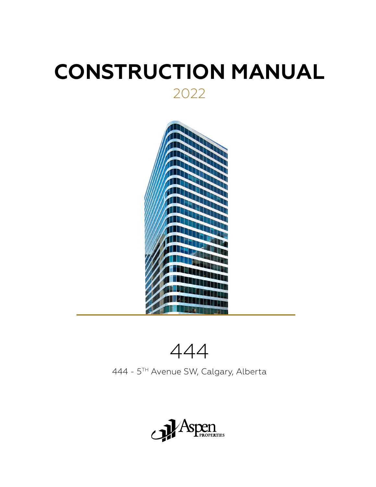# **CONSTRUCTION MANUAL** 2022



444

444 - 5TH Avenue SW, Calgary, Alberta

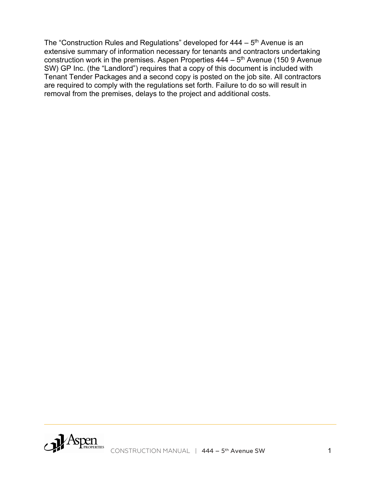The "Construction Rules and Regulations" developed for  $444 - 5$ <sup>th</sup> Avenue is an extensive summary of information necessary for tenants and contractors undertaking construction work in the premises. Aspen Properties  $444 - 5$ <sup>th</sup> Avenue (150 9 Avenue SW) GP Inc. (the "Landlord") requires that a copy of this document is included with Tenant Tender Packages and a second copy is posted on the job site. All contractors are required to comply with the regulations set forth. Failure to do so will result in removal from the premises, delays to the project and additional costs.

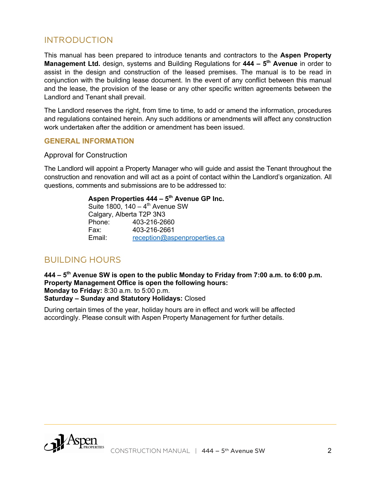## INTRODUCTION

This manual has been prepared to introduce tenants and contractors to the **Aspen Property Management Ltd.** design, systems and Building Regulations for **444 – 5th Avenue** in order to assist in the design and construction of the leased premises. The manual is to be read in conjunction with the building lease document. In the event of any conflict between this manual and the lease, the provision of the lease or any other specific written agreements between the Landlord and Tenant shall prevail.

The Landlord reserves the right, from time to time, to add or amend the information, procedures and regulations contained herein. Any such additions or amendments will affect any construction work undertaken after the addition or amendment has been issued.

#### **GENERAL INFORMATION**

#### Approval for Construction

The Landlord will appoint a Property Manager who will guide and assist the Tenant throughout the construction and renovation and will act as a point of contact within the Landlord's organization. All questions, comments and submissions are to be addressed to:

#### **Aspen Properties 444 – 5th Avenue GP Inc.**

Suite 1800,  $140 - 4$ <sup>th</sup> Avenue SW Calgary, Alberta T2P 3N3 Phone: 403-216-2660 Fax: 403-216-2661 Email: reception@aspenproperties.ca

## BUILDING HOURS

**444 – 5th Avenue SW is open to the public Monday to Friday from 7:00 a.m. to 6:00 p.m. Property Management Office is open the following hours: Monday to Friday:** 8:30 a.m. to 5:00 p.m. **Saturday – Sunday and Statutory Holidays:** Closed

During certain times of the year, holiday hours are in effect and work will be affected accordingly. Please consult with Aspen Property Management for further details.

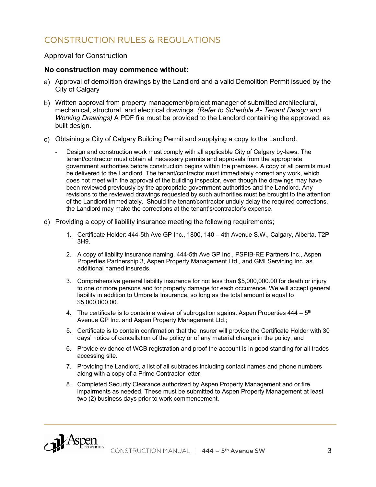# CONSTRUCTION RULES & REGULATIONS

#### Approval for Construction

#### **No construction may commence without:**

- Approval of demolition drawings by the Landlord and a valid Demolition Permit issued by the City of Calgary
- Written approval from property management/project manager of submitted architectural, mechanical, structural, and electrical drawings*. (Refer to Schedule A- Tenant Design and Working Drawings)* A PDF file must be provided to the Landlord containing the approved, as built design.
- Obtaining a City of Calgary Building Permit and supplying a copy to the Landlord.
	- Design and construction work must comply with all applicable City of Calgary by-laws. The tenant/contractor must obtain all necessary permits and approvals from the appropriate government authorities before construction begins within the premises. A copy of all permits must be delivered to the Landlord. The tenant/contractor must immediately correct any work, which does not meet with the approval of the building inspector, even though the drawings may have been reviewed previously by the appropriate government authorities and the Landlord. Any revisions to the reviewed drawings requested by such authorities must be brought to the attention of the Landlord immediately. Should the tenant/contractor unduly delay the required corrections, the Landlord may make the corrections at the tenant's/contractor's expense.
- Providing a copy of liability insurance meeting the following requirements;
	- 1. Certificate Holder: 444-5th Ave GP Inc., 1800, 140 4th Avenue S.W., Calgary, Alberta, T2P 3H9.
	- 2. A copy of liability insurance naming, 444-5th Ave GP Inc., PSPIB-RE Partners Inc., Aspen Properties Partnership 3, Aspen Property Management Ltd., and GMI Servicing Inc. as additional named insureds.
	- 3. Comprehensive general liability insurance for not less than \$5,000,000.00 for death or injury to one or more persons and for property damage for each occurrence. We will accept general liability in addition to Umbrella Insurance, so long as the total amount is equal to \$5,000,000.00.
	- 4. The certificate is to contain a waiver of subrogation against Aspen Properties  $444 5$ <sup>th</sup> Avenue GP Inc. and Aspen Property Management Ltd.;
	- 5. Certificate is to contain confirmation that the insurer will provide the Certificate Holder with 30 days' notice of cancellation of the policy or of any material change in the policy; and
	- 6. Provide evidence of WCB registration and proof the account is in good standing for all trades accessing site.
	- 7. Providing the Landlord, a list of all subtrades including contact names and phone numbers along with a copy of a Prime Contractor letter.
	- 8. Completed Security Clearance authorized by Aspen Property Management and or fire impairments as needed. These must be submitted to Aspen Property Management at least two (2) business days prior to work commencement.

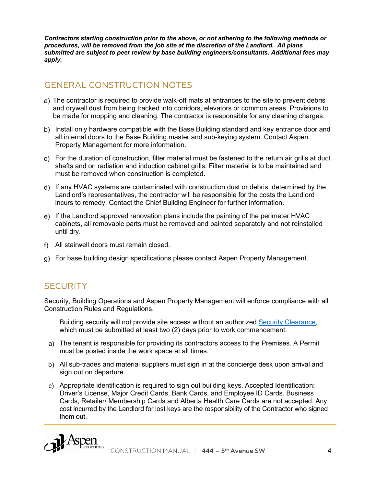*Contractors starting construction prior to the above, or not adhering to the following methods or procedures, will be removed from the job site at the discretion of the Landlord. All plans submitted are subject to peer review by base building engineers/consultants. Additional fees may apply.*

# GENERAL CONSTRUCTION NOTES

- a) The contractor is required to provide walk-off mats at entrances to the site to prevent debris and drywall dust from being tracked into corridors, elevators or common areas. Provisions to be made for mopping and cleaning. The contractor is responsible for any cleaning charges.
- b) Install only hardware compatible with the Base Building standard and key entrance door and all internal doors to the Base Building master and sub-keying system. Contact Aspen Property Management for more information.
- For the duration of construction, filter material must be fastened to the return air grills at duct shafts and on radiation and induction cabinet grills. Filter material is to be maintained and must be removed when construction is completed.
- If any HVAC systems are contaminated with construction dust or debris, determined by the Landlord's representatives, the contractor will be responsible for the costs the Landlord incurs to remedy. Contact the Chief Building Engineer for further information.
- If the Landlord approved renovation plans include the painting of the perimeter HVAC cabinets, all removable parts must be removed and painted separately and not reinstalled until dry.
- All stairwell doors must remain closed.
- For base building design specifications please contact Aspen Property Management.

# **SECURITY**

Security, Building Operations and Aspen Property Management will enforce compliance with all Construction Rules and Regulations.

Building security will not provide site access without an authorized Security Clearance, which must be submitted at least two (2) days prior to work commencement.

- The tenant is responsible for providing its contractors access to the Premises. A Permit must be posted inside the work space at all times.
- All sub-trades and material suppliers must sign in at the concierge desk upon arrival and sign out on departure.
- Appropriate identification is required to sign out building keys. Accepted Identification: Driver's License, Major Credit Cards, Bank Cards, and Employee ID Cards. Business Cards, Retailer/ Membership Cards and Alberta Health Care Cards are not accepted. Any cost incurred by the Landlord for lost keys are the responsibility of the Contractor who signed them out.

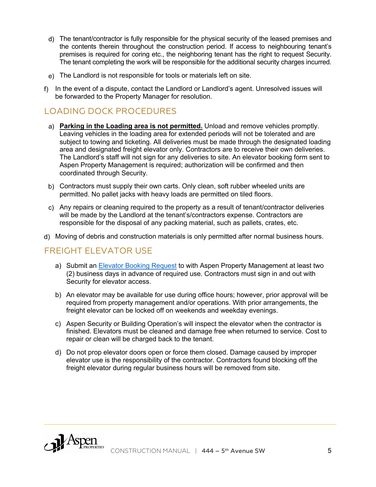- The tenant/contractor is fully responsible for the physical security of the leased premises and the contents therein throughout the construction period. If access to neighbouring tenant's premises is required for coring etc., the neighboring tenant has the right to request Security. The tenant completing the work will be responsible for the additional security charges incurred.
- The Landlord is not responsible for tools or materials left on site.
- f) In the event of a dispute, contact the Landlord or Landlord's agent. Unresolved issues will be forwarded to the Property Manager for resolution.

# LOADING DOCK PROCEDURES

- **Parking in the Loading area is not permitted.** Unload and remove vehicles promptly. Leaving vehicles in the loading area for extended periods will not be tolerated and are subject to towing and ticketing. All deliveries must be made through the designated loading area and designated freight elevator only. Contractors are to receive their own deliveries. The Landlord's staff will not sign for any deliveries to site. An elevator booking form sent to Aspen Property Management is required; authorization will be confirmed and then coordinated through Security.
- b) Contractors must supply their own carts. Only clean, soft rubber wheeled units are permitted. No pallet jacks with heavy loads are permitted on tiled floors.
- Any repairs or cleaning required to the property as a result of tenant/contractor deliveries will be made by the Landlord at the tenant's/contractors expense. Contractors are responsible for the disposal of any packing material, such as pallets, crates, etc.
- Moving of debris and construction materials is only permitted after normal business hours.

## FREIGHT ELEVATOR USE

- a) Submit an Elevator Booking Request to with Aspen Property Management at least two (2) business days in advance of required use. Contractors must sign in and out with Security for elevator access.
- b) An elevator may be available for use during office hours; however, prior approval will be required from property management and/or operations. With prior arrangements, the freight elevator can be locked off on weekends and weekday evenings.
- c) Aspen Security or Building Operation's will inspect the elevator when the contractor is finished. Elevators must be cleaned and damage free when returned to service. Cost to repair or clean will be charged back to the tenant.
- d) Do not prop elevator doors open or force them closed. Damage caused by improper elevator use is the responsibility of the contractor. Contractors found blocking off the freight elevator during regular business hours will be removed from site.

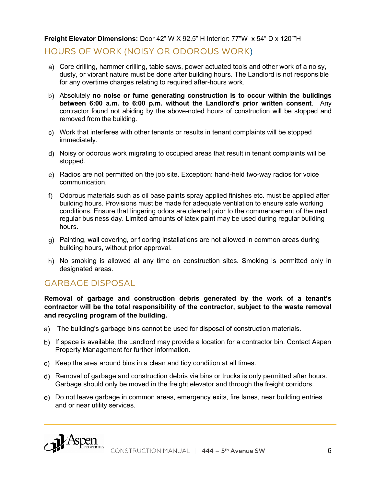## **Freight Elevator Dimensions:** Door 42" W X 92.5" H Interior: 77"W x 54" D x 120""H

## HOURS OF WORK (NOISY OR ODOROUS WORK)

- Core drilling, hammer drilling, table saws, power actuated tools and other work of a noisy, dusty, or vibrant nature must be done after building hours. The Landlord is not responsible for any overtime charges relating to required after-hours work.
- Absolutely **no noise or fume generating construction is to occur within the buildings between 6:00 a.m. to 6:00 p.m. without the Landlord's prior written consent**. Any contractor found not abiding by the above-noted hours of construction will be stopped and removed from the building.
- Work that interferes with other tenants or results in tenant complaints will be stopped immediately.
- Noisy or odorous work migrating to occupied areas that result in tenant complaints will be stopped.
- Radios are not permitted on the job site. Exception: hand-held two-way radios for voice communication.
- Odorous materials such as oil base paints spray applied finishes etc. must be applied after building hours. Provisions must be made for adequate ventilation to ensure safe working conditions. Ensure that lingering odors are cleared prior to the commencement of the next regular business day. Limited amounts of latex paint may be used during regular building hours.
- Painting, wall covering, or flooring installations are not allowed in common areas during building hours, without prior approval.
- h) No smoking is allowed at any time on construction sites. Smoking is permitted only in designated areas.

## GARBAGE DISPOSAL

**Removal of garbage and construction debris generated by the work of a tenant's contractor will be the total responsibility of the contractor, subject to the waste removal and recycling program of the building.**

- The building's garbage bins cannot be used for disposal of construction materials.
- b) If space is available, the Landlord may provide a location for a contractor bin. Contact Aspen Property Management for further information.
- c) Keep the area around bins in a clean and tidy condition at all times.
- Removal of garbage and construction debris via bins or trucks is only permitted after hours. Garbage should only be moved in the freight elevator and through the freight corridors.
- Do not leave garbage in common areas, emergency exits, fire lanes, near building entries and or near utility services.

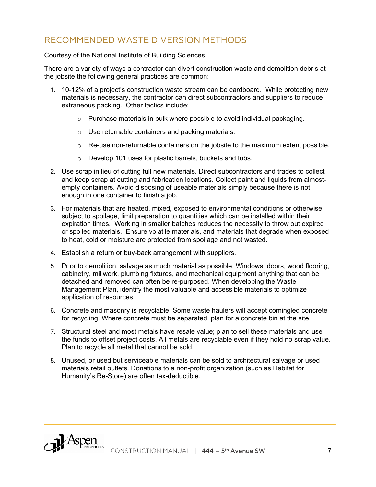# RECOMMENDED WASTE DIVERSION METHODS

#### Courtesy of the National Institute of Building Sciences

There are a variety of ways a contractor can divert construction waste and demolition debris at the jobsite the following general practices are common:

- 1. 10-12% of a project's construction waste stream can be cardboard. While protecting new materials is necessary, the contractor can direct subcontractors and suppliers to reduce extraneous packing. Other tactics include:
	- o Purchase materials in bulk where possible to avoid individual packaging.
	- o Use returnable containers and packing materials.
	- o Re-use non-returnable containers on the jobsite to the maximum extent possible.
	- o Develop 101 uses for plastic barrels, buckets and tubs.
- 2. Use scrap in lieu of cutting full new materials. Direct subcontractors and trades to collect and keep scrap at cutting and fabrication locations. Collect paint and liquids from almostempty containers. Avoid disposing of useable materials simply because there is not enough in one container to finish a job.
- 3. For materials that are heated, mixed, exposed to environmental conditions or otherwise subject to spoilage, limit preparation to quantities which can be installed within their expiration times. Working in smaller batches reduces the necessity to throw out expired or spoiled materials. Ensure volatile materials, and materials that degrade when exposed to heat, cold or moisture are protected from spoilage and not wasted.
- 4. Establish a return or buy-back arrangement with suppliers.
- 5. Prior to demolition, salvage as much material as possible. Windows, doors, wood flooring, cabinetry, millwork, plumbing fixtures, and mechanical equipment anything that can be detached and removed can often be re-purposed. When developing the Waste Management Plan, identify the most valuable and accessible materials to optimize application of resources.
- 6. Concrete and masonry is recyclable. Some waste haulers will accept comingled concrete for recycling. Where concrete must be separated, plan for a concrete bin at the site.
- 7. Structural steel and most metals have resale value; plan to sell these materials and use the funds to offset project costs. All metals are recyclable even if they hold no scrap value. Plan to recycle all metal that cannot be sold.
- 8. Unused, or used but serviceable materials can be sold to architectural salvage or used materials retail outlets. Donations to a non-profit organization (such as Habitat for Humanity's Re-Store) are often tax-deductible.

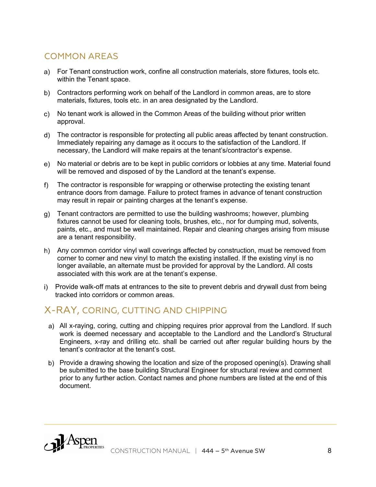# COMMON AREAS

- For Tenant construction work, confine all construction materials, store fixtures, tools etc. within the Tenant space.
- Contractors performing work on behalf of the Landlord in common areas, are to store materials, fixtures, tools etc. in an area designated by the Landlord.
- No tenant work is allowed in the Common Areas of the building without prior written approval.
- The contractor is responsible for protecting all public areas affected by tenant construction. Immediately repairing any damage as it occurs to the satisfaction of the Landlord. If necessary, the Landlord will make repairs at the tenant's/contractor's expense.
- No material or debris are to be kept in public corridors or lobbies at any time. Material found will be removed and disposed of by the Landlord at the tenant's expense.
- f) The contractor is responsible for wrapping or otherwise protecting the existing tenant entrance doors from damage. Failure to protect frames in advance of tenant construction may result in repair or painting charges at the tenant's expense.
- Tenant contractors are permitted to use the building washrooms; however, plumbing fixtures cannot be used for cleaning tools, brushes, etc., nor for dumping mud, solvents, paints, etc., and must be well maintained. Repair and cleaning charges arising from misuse are a tenant responsibility.
- h) Any common corridor vinyl wall coverings affected by construction, must be removed from corner to corner and new vinyl to match the existing installed. If the existing vinyl is no longer available, an alternate must be provided for approval by the Landlord. All costs associated with this work are at the tenant's expense.
- Provide walk-off mats at entrances to the site to prevent debris and drywall dust from being tracked into corridors or common areas.

# X-RAY, CORING, CUTTING AND CHIPPING

- a) All x-raying, coring, cutting and chipping requires prior approval from the Landlord. If such work is deemed necessary and acceptable to the Landlord and the Landlord's Structural Engineers, x-ray and drilling etc. shall be carried out after regular building hours by the tenant's contractor at the tenant's cost.
- b) Provide a drawing showing the location and size of the proposed opening(s). Drawing shall be submitted to the base building Structural Engineer for structural review and comment prior to any further action. Contact names and phone numbers are listed at the end of this document.

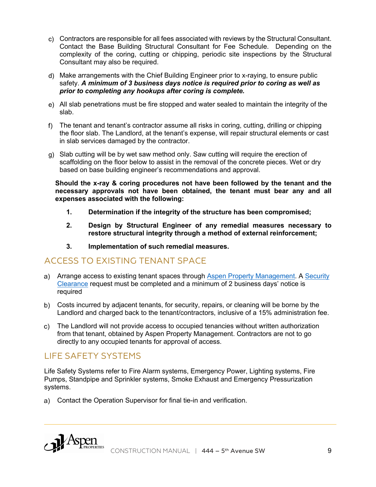- Contractors are responsible for all fees associated with reviews by the Structural Consultant. Contact the Base Building Structural Consultant for Fee Schedule. Depending on the complexity of the coring, cutting or chipping, periodic site inspections by the Structural Consultant may also be required.
- Make arrangements with the Chief Building Engineer prior to x-raying, to ensure public safety. *A minimum of 3 business days notice is required prior to coring as well as prior to completing any hookups after coring is complete.*
- All slab penetrations must be fire stopped and water sealed to maintain the integrity of the slab.
- The tenant and tenant's contractor assume all risks in coring, cutting, drilling or chipping the floor slab. The Landlord, at the tenant's expense, will repair structural elements or cast in slab services damaged by the contractor.
- Slab cutting will be by wet saw method only. Saw cutting will require the erection of scaffolding on the floor below to assist in the removal of the concrete pieces. Wet or dry based on base building engineer's recommendations and approval.

**Should the x-ray & coring procedures not have been followed by the tenant and the necessary approvals not have been obtained, the tenant must bear any and all expenses associated with the following:**

- **1. Determination if the integrity of the structure has been compromised;**
- **2. Design by Structural Engineer of any remedial measures necessary to restore structural integrity through a method of external reinforcement;**
- **3. Implementation of such remedial measures.**

## ACCESS TO EXISTING TENANT SPACE

- a) Arrange access to existing tenant spaces through Aspen Property Management. A Security Clearance request must be completed and a minimum of 2 business days' notice is required
- Costs incurred by adjacent tenants, for security, repairs, or cleaning will be borne by the Landlord and charged back to the tenant/contractors, inclusive of a 15% administration fee.
- The Landlord will not provide access to occupied tenancies without written authorization from that tenant, obtained by Aspen Property Management. Contractors are not to go directly to any occupied tenants for approval of access.

## LIFE SAFETY SYSTEMS

Life Safety Systems refer to Fire Alarm systems, Emergency Power, Lighting systems, Fire Pumps, Standpipe and Sprinkler systems, Smoke Exhaust and Emergency Pressurization systems.

Contact the Operation Supervisor for final tie-in and verification.

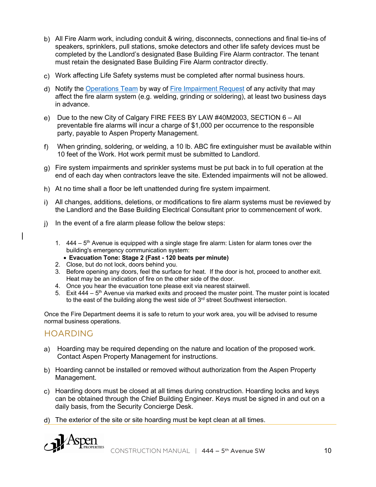- All Fire Alarm work, including conduit & wiring, disconnects, connections and final tie-ins of speakers, sprinklers, pull stations, smoke detectors and other life safety devices must be completed by the Landlord's designated Base Building Fire Alarm contractor. The tenant must retain the designated Base Building Fire Alarm contractor directly.
- Work affecting Life Safety systems must be completed after normal business hours.
- Notify the Operations Team by way of Fire Impairment Request of any activity that may affect the fire alarm system (e.g. welding, grinding or soldering), at least two business days in advance.
- e) Due to the new City of Calgary FIRE FEES BY LAW  $\#40M2003$ , SECTION 6 All preventable fire alarms will incur a charge of \$1,000 per occurrence to the responsible party, payable to Aspen Property Management.
- When grinding, soldering, or welding, a 10 lb. ABC fire extinguisher must be available within 10 feet of the Work. Hot work permit must be submitted to Landlord.
- Fire system impairments and sprinkler systems must be put back in to full operation at the end of each day when contractors leave the site. Extended impairments will not be allowed.
- h) At no time shall a floor be left unattended during fire system impairment.
- All changes, additions, deletions, or modifications to fire alarm systems must be reviewed by the Landlord and the Base Building Electrical Consultant prior to commencement of work.
- j) In the event of a fire alarm please follow the below steps:
	- 1.  $444 5$ <sup>th</sup> Avenue is equipped with a single stage fire alarm: Listen for alarm tones over the building's emergency communication system:
		- **Evacuation Tone: Stage 2 (Fast - 120 beats per minute)**
	- 2. Close, but do not lock, doors behind you.
	- 3. Before opening any doors, feel the surface for heat. If the door is hot, proceed to another exit. Heat may be an indication of fire on the other side of the door.
	- 4. Once you hear the evacuation tone please exit via nearest stairwell.
	- 5. Exit  $444 5$ <sup>th</sup> Avenue via marked exits and proceed the muster point. The muster point is located to the east of the building along the west side of  $3<sup>rd</sup>$  street Southwest intersection.

Once the Fire Department deems it is safe to return to your work area, you will be advised to resume normal business operations.

## HOARDING

- a) Hoarding may be required depending on the nature and location of the proposed work. Contact Aspen Property Management for instructions.
- b) Hoarding cannot be installed or removed without authorization from the Aspen Property Management.
- Hoarding doors must be closed at all times during construction. Hoarding locks and keys can be obtained through the Chief Building Engineer. Keys must be signed in and out on a daily basis, from the Security Concierge Desk.
- The exterior of the site or site hoarding must be kept clean at all times.

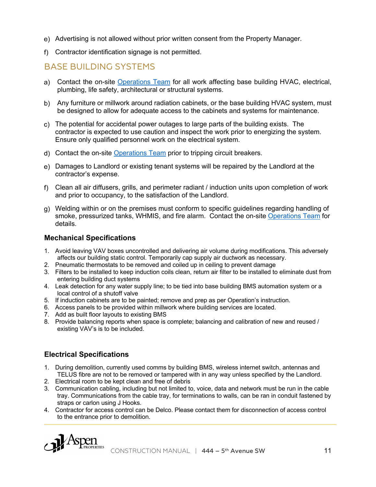- Advertising is not allowed without prior written consent from the Property Manager.
- Contractor identification signage is not permitted.

## BASE BUILDING SYSTEMS

- Contact the on-site Operations Team for all work affecting base building HVAC, electrical, plumbing, life safety, architectural or structural systems.
- Any furniture or millwork around radiation cabinets, or the base building HVAC system, must be designed to allow for adequate access to the cabinets and systems for maintenance.
- The potential for accidental power outages to large parts of the building exists. The contractor is expected to use caution and inspect the work prior to energizing the system. Ensure only qualified personnel work on the electrical system.
- Contact the on-site Operations Team prior to tripping circuit breakers.
- Damages to Landlord or existing tenant systems will be repaired by the Landlord at the contractor's expense.
- Clean all air diffusers, grills, and perimeter radiant / induction units upon completion of work and prior to occupancy, to the satisfaction of the Landlord.
- Welding within or on the premises must conform to specific guidelines regarding handling of smoke, pressurized tanks, WHMIS, and fire alarm. Contact the on-site Operations Team for details.

#### **Mechanical Specifications**

- 1. Avoid leaving VAV boxes uncontrolled and delivering air volume during modifications. This adversely affects our building static control. Temporarily cap supply air ductwork as necessary.
- 2. Pneumatic thermostats to be removed and coiled up in ceiling to prevent damage
- 3. Filters to be installed to keep induction coils clean, return air filter to be installed to eliminate dust from entering building duct systems
- 4. Leak detection for any water supply line; to be tied into base building BMS automation system or a local control of a shutoff valve
- 5. If induction cabinets are to be painted; remove and prep as per Operation's instruction.
- 6. Access panels to be provided within millwork where building services are located.
- 7. Add as built floor layouts to existing BMS
- 8. Provide balancing reports when space is complete; balancing and calibration of new and reused / existing VAV's is to be included.

#### **Electrical Specifications**

- 1. During demolition, currently used comms by building BMS, wireless internet switch, antennas and TELUS fibre are not to be removed or tampered with in any way unless specified by the Landlord.
- 2. Electrical room to be kept clean and free of debris
- 3. Communication cabling, including but not limited to, voice, data and network must be run in the cable tray. Communications from the cable tray, for terminations to walls, can be ran in conduit fastened by straps or carlon using J Hooks.
- 4. Contractor for access control can be Delco. Please contact them for disconnection of access control to the entrance prior to demolition.

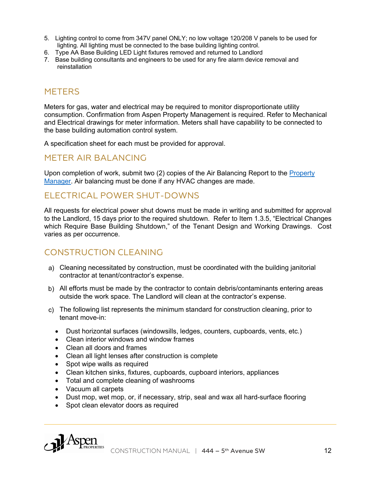- 5. Lighting control to come from 347V panel ONLY; no low voltage 120/208 V panels to be used for lighting. All lighting must be connected to the base building lighting control.
- 6. Type AA Base Building LED Light fixtures removed and returned to Landlord
- 7. Base building consultants and engineers to be used for any fire alarm device removal and reinstallation

## **METERS**

Meters for gas, water and electrical may be required to monitor disproportionate utility consumption. Confirmation from Aspen Property Management is required. Refer to Mechanical and Electrical drawings for meter information. Meters shall have capability to be connected to the base building automation control system.

A specification sheet for each must be provided for approval.

## METER AIR BALANCING

Upon completion of work, submit two (2) copies of the Air Balancing Report to the Property Manager. Air balancing must be done if any HVAC changes are made.

## ELECTRICAL POWER SHUT-DOWNS

All requests for electrical power shut downs must be made in writing and submitted for approval to the Landlord, 15 days prior to the required shutdown. Refer to Item 1.3.5, "Electrical Changes which Require Base Building Shutdown," of the Tenant Design and Working Drawings. Cost varies as per occurrence.

## CONSTRUCTION CLEANING

- Cleaning necessitated by construction, must be coordinated with the building janitorial contractor at tenant/contractor's expense.
- All efforts must be made by the contractor to contain debris/contaminants entering areas outside the work space. The Landlord will clean at the contractor's expense.
- The following list represents the minimum standard for construction cleaning, prior to tenant move-in:
	- Dust horizontal surfaces (windowsills, ledges, counters, cupboards, vents, etc.)
	- Clean interior windows and window frames
	- Clean all doors and frames
	- Clean all light lenses after construction is complete
	- Spot wipe walls as required
	- Clean kitchen sinks, fixtures, cupboards, cupboard interiors, appliances
	- Total and complete cleaning of washrooms
	- Vacuum all carpets
	- Dust mop, wet mop, or, if necessary, strip, seal and wax all hard-surface flooring
	- Spot clean elevator doors as required

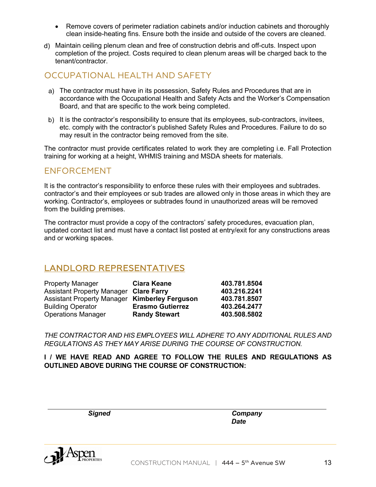- Remove covers of perimeter radiation cabinets and/or induction cabinets and thoroughly clean inside-heating fins. Ensure both the inside and outside of the covers are cleaned.
- Maintain ceiling plenum clean and free of construction debris and off-cuts. Inspect upon completion of the project. Costs required to clean plenum areas will be charged back to the tenant/contractor.

## OCCUPATIONAL HEALTH AND SAFETY

- The contractor must have in its possession, Safety Rules and Procedures that are in accordance with the Occupational Health and Safety Acts and the Worker's Compensation Board, and that are specific to the work being completed.
- b) It is the contractor's responsibility to ensure that its employees, sub-contractors, invitees, etc. comply with the contractor's published Safety Rules and Procedures. Failure to do so may result in the contractor being removed from the site.

The contractor must provide certificates related to work they are completing i.e. Fall Protection training for working at a height, WHMIS training and MSDA sheets for materials.

## ENFORCEMENT

It is the contractor's responsibility to enforce these rules with their employees and subtrades. contractor's and their employees or sub trades are allowed only in those areas in which they are working. Contractor's, employees or subtrades found in unauthorized areas will be removed from the building premises.

The contractor must provide a copy of the contractors' safety procedures, evacuation plan, updated contact list and must have a contact list posted at entry/exit for any constructions areas and or working spaces.

# LANDLORD REPRESENTATIVES

| <b>Property Manager</b>                       | <b>Ciara Keane</b>      | 403.781.8504 |
|-----------------------------------------------|-------------------------|--------------|
| <b>Assistant Property Manager Clare Farry</b> |                         | 403.216.2241 |
| Assistant Property Manager Kimberley Ferguson |                         | 403.781.8507 |
| <b>Building Operator</b>                      | <b>Erasmo Gutierrez</b> | 403.264.2477 |
| <b>Operations Manager</b>                     | <b>Randy Stewart</b>    | 403.508.5802 |

*THE CONTRACTOR AND HIS EMPLOYEES WILL ADHERE TO ANY ADDITIONAL RULES AND REGULATIONS AS THEY MAY ARISE DURING THE COURSE OF CONSTRUCTION.*

**I / WE HAVE READ AND AGREE TO FOLLOW THE RULES AND REGULATIONS AS OUTLINED ABOVE DURING THE COURSE OF CONSTRUCTION:**

*Signed Company Date*

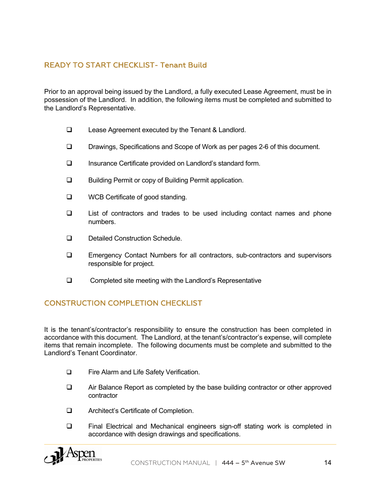## READY TO START CHECKLIST- Tenant Build

Prior to an approval being issued by the Landlord, a fully executed Lease Agreement, must be in possession of the Landlord. In addition, the following items must be completed and submitted to the Landlord's Representative.

- $\Box$  Lease Agreement executed by the Tenant & Landlord.
- □ Drawings, Specifications and Scope of Work as per pages 2-6 of this document.
- □ Insurance Certificate provided on Landlord's standard form.
- **Q** Building Permit or copy of Building Permit application.
- $\Box$  WCB Certificate of good standing.
- $\Box$  List of contractors and trades to be used including contact names and phone numbers.
- **Q** Detailed Construction Schedule.
- **Q Emergency Contact Numbers for all contractors, sub-contractors and supervisors** responsible for project.
- $\Box$  Completed site meeting with the Landlord's Representative

#### CONSTRUCTION COMPLETION CHECKLIST

It is the tenant's/contractor's responsibility to ensure the construction has been completed in accordance with this document. The Landlord, at the tenant's/contractor's expense, will complete items that remain incomplete. The following documents must be complete and submitted to the Landlord's Tenant Coordinator.

- □ Fire Alarm and Life Safety Verification.
- $\Box$  Air Balance Report as completed by the base building contractor or other approved contractor
- **Q** Architect's Certificate of Completion.
- $\Box$  Final Electrical and Mechanical engineers sign-off stating work is completed in accordance with design drawings and specifications.

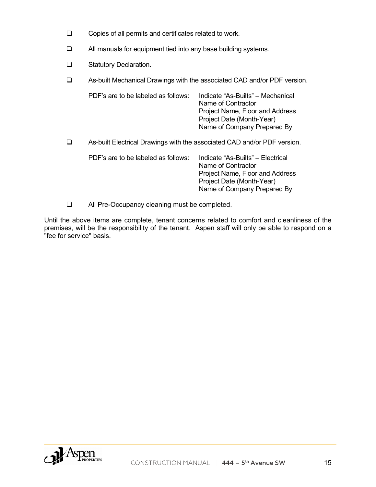- $\Box$  Copies of all permits and certificates related to work.
- $\Box$  All manuals for equipment tied into any base building systems.
- **Q** Statutory Declaration.
- □ As-built Mechanical Drawings with the associated CAD and/or PDF version.

| PDF's are to be labeled as follows: | Indicate "As-Builts" – Mechanical<br>Name of Contractor<br>Project Name, Floor and Address<br>Project Date (Month-Year)<br>Name of Company Prepared By |
|-------------------------------------|--------------------------------------------------------------------------------------------------------------------------------------------------------|
|                                     |                                                                                                                                                        |

□ As-built Electrical Drawings with the associated CAD and/or PDF version.

| PDF's are to be labeled as follows: | Indicate "As-Builts" – Electrical |
|-------------------------------------|-----------------------------------|
|                                     | Name of Contractor                |
|                                     | Project Name, Floor and Address   |
|                                     | Project Date (Month-Year)         |
|                                     | Name of Company Prepared By       |

 $\Box$  All Pre-Occupancy cleaning must be completed.

Until the above items are complete, tenant concerns related to comfort and cleanliness of the premises, will be the responsibility of the tenant. Aspen staff will only be able to respond on a "fee for service" basis.

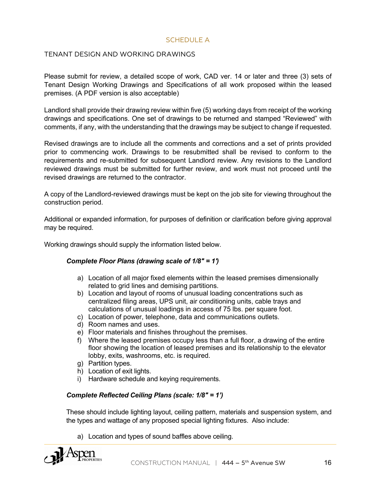#### SCHEDULE A

#### TENANT DESIGN AND WORKING DRAWINGS

Please submit for review, a detailed scope of work, CAD ver. 14 or later and three (3) sets of Tenant Design Working Drawings and Specifications of all work proposed within the leased premises. (A PDF version is also acceptable)

Landlord shall provide their drawing review within five (5) working days from receipt of the working drawings and specifications. One set of drawings to be returned and stamped "Reviewed" with comments, if any, with the understanding that the drawings may be subject to change if requested.

Revised drawings are to include all the comments and corrections and a set of prints provided prior to commencing work. Drawings to be resubmitted shall be revised to conform to the requirements and re-submitted for subsequent Landlord review. Any revisions to the Landlord reviewed drawings must be submitted for further review, and work must not proceed until the revised drawings are returned to the contractor.

A copy of the Landlord-reviewed drawings must be kept on the job site for viewing throughout the construction period.

Additional or expanded information, for purposes of definition or clarification before giving approval may be required.

Working drawings should supply the information listed below.

#### *Complete Floor Plans (drawing scale of 1/8" = 1')*

- a) Location of all major fixed elements within the leased premises dimensionally related to grid lines and demising partitions.
- b) Location and layout of rooms of unusual loading concentrations such as centralized filing areas, UPS unit, air conditioning units, cable trays and calculations of unusual loadings in access of 75 lbs. per square foot.
- c) Location of power, telephone, data and communications outlets.
- d) Room names and uses.
- e) Floor materials and finishes throughout the premises.
- f) Where the leased premises occupy less than a full floor, a drawing of the entire floor showing the location of leased premises and its relationship to the elevator lobby, exits, washrooms, etc. is required.
- g) Partition types.
- h) Location of exit lights.
- i) Hardware schedule and keying requirements.

#### *Complete Reflected Ceiling Plans (scale: 1/8" = 1')*

These should include lighting layout, ceiling pattern, materials and suspension system, and the types and wattage of any proposed special lighting fixtures. Also include:

a) Location and types of sound baffles above ceiling.

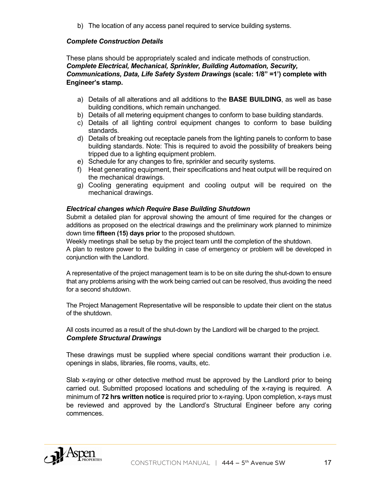b) The location of any access panel required to service building systems.

#### *Complete Construction Details*

These plans should be appropriately scaled and indicate methods of construction. *Complete Electrical, Mechanical, Sprinkler, Building Automation, Security, Communications, Data, Life Safety System Drawings* **(scale: 1/8" =1') complete with Engineer's stamp.**

- a) Details of all alterations and all additions to the **BASE BUILDING**, as well as base building conditions, which remain unchanged.
- b) Details of all metering equipment changes to conform to base building standards.
- c) Details of all lighting control equipment changes to conform to base building standards.
- d) Details of breaking out receptacle panels from the lighting panels to conform to base building standards. Note: This is required to avoid the possibility of breakers being tripped due to a lighting equipment problem.
- e) Schedule for any changes to fire, sprinkler and security systems.
- f) Heat generating equipment, their specifications and heat output will be required on the mechanical drawings.
- g) Cooling generating equipment and cooling output will be required on the mechanical drawings.

#### *Electrical changes which Require Base Building Shutdown*

Submit a detailed plan for approval showing the amount of time required for the changes or additions as proposed on the electrical drawings and the preliminary work planned to minimize down time **fifteen (15) days prior** to the proposed shutdown.

Weekly meetings shall be setup by the project team until the completion of the shutdown.

A plan to restore power to the building in case of emergency or problem will be developed in conjunction with the Landlord.

A representative of the project management team is to be on site during the shut-down to ensure that any problems arising with the work being carried out can be resolved, thus avoiding the need for a second shutdown.

The Project Management Representative will be responsible to update their client on the status of the shutdown.

All costs incurred as a result of the shut-down by the Landlord will be charged to the project. *Complete Structural Drawings*

These drawings must be supplied where special conditions warrant their production i.e. openings in slabs, libraries, file rooms, vaults, etc.

Slab x-raying or other detective method must be approved by the Landlord prior to being carried out. Submitted proposed locations and scheduling of the x-raying is required. A minimum of **72 hrs written notice** is required prior to x-raying. Upon completion, x-rays must be reviewed and approved by the Landlord's Structural Engineer before any coring commences.

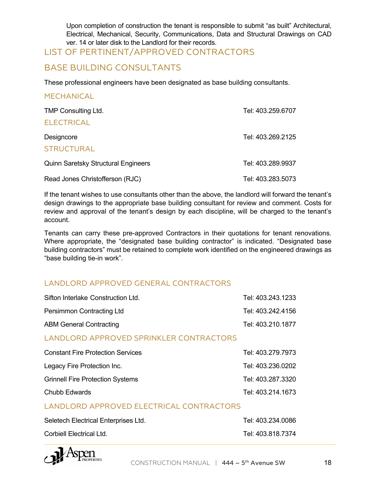Upon completion of construction the tenant is responsible to submit "as built" Architectural, Electrical, Mechanical, Security, Communications, Data and Structural Drawings on CAD ver. 14 or later disk to the Landlord for their records.

## LIST OF PERTINENT/APPROVED CONTRACTORS

## BASE BUILDING CONSULTANTS

These professional engineers have been designated as base building consultants.

#### MECHANICAL

| <b>TMP Consulting Ltd.</b>                 | Tel: 403.259.6707 |
|--------------------------------------------|-------------------|
| <b>ELECTRICAL</b>                          |                   |
| Designcore                                 | Tel: 403.269.2125 |
| <b>STRUCTURAL</b>                          |                   |
| <b>Quinn Saretsky Structural Engineers</b> | Tel: 403.289.9937 |
| Read Jones Christofferson (RJC)            | Tel: 403.283.5073 |

If the tenant wishes to use consultants other than the above, the landlord will forward the tenant's design drawings to the appropriate base building consultant for review and comment. Costs for review and approval of the tenant's design by each discipline, will be charged to the tenant's account.

Tenants can carry these pre-approved Contractors in their quotations for tenant renovations. Where appropriate, the "designated base building contractor" is indicated. "Designated base building contractors" must be retained to complete work identified on the engineered drawings as "base building tie-in work".

#### LANDLORD APPROVED GENERAL CONTRACTORS

| Sifton Interlake Construction Ltd. | Tel: 403.243.1233 |
|------------------------------------|-------------------|
| Persimmon Contracting Ltd          | Tel: 403.242.4156 |
| <b>ABM General Contracting</b>     | Tel: 403.210.1877 |

#### LANDLORD APPROVED SPRINKLER CONTRACTORS

| <b>Constant Fire Protection Services</b> | Tel: 403.279.7973 |
|------------------------------------------|-------------------|
| Legacy Fire Protection Inc.              | Tel: 403.236.0202 |
| <b>Grinnell Fire Protection Systems</b>  | Tel: 403.287.3320 |
| Chubb Edwards                            | Tel: 403.214.1673 |

#### LANDLORD APPROVED ELECTRICAL CONTRACTORS

| Seletech Electrical Enterprises Ltd. | Tel: 403.234.0086 |
|--------------------------------------|-------------------|
| Corbiell Electrical Ltd.             | Tel: 403.818.7374 |